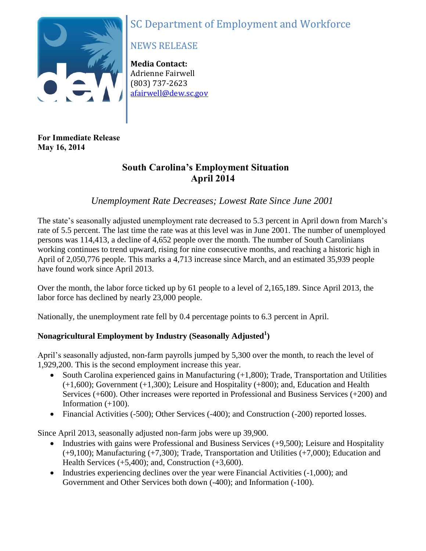# SC Department of Employment and Workforce



## NEWS RELEASE

**Media Contact:** Adrienne Fairwell (803) 737-2623 [afairwell@dew.sc.gov](mailto:afairwell@dew.sc.gov)

**For Immediate Release May 16, 2014**

### **South Carolina's Employment Situation April 2014**

*Unemployment Rate Decreases; Lowest Rate Since June 2001*

The state's seasonally adjusted unemployment rate decreased to 5.3 percent in April down from March's rate of 5.5 percent. The last time the rate was at this level was in June 2001. The number of unemployed persons was 114,413, a decline of 4,652 people over the month. The number of South Carolinians working continues to trend upward, rising for nine consecutive months, and reaching a historic high in April of 2,050,776 people. This marks a 4,713 increase since March, and an estimated 35,939 people have found work since April 2013.

Over the month, the labor force ticked up by 61 people to a level of 2,165,189. Since April 2013, the labor force has declined by nearly 23,000 people.

Nationally, the unemployment rate fell by 0.4 percentage points to 6.3 percent in April.

### **Nonagricultural Employment by Industry (Seasonally Adjusted<sup>1</sup> )**

April's seasonally adjusted, non-farm payrolls jumped by 5,300 over the month, to reach the level of 1,929,200. This is the second employment increase this year.

- South Carolina experienced gains in Manufacturing  $(+1,800)$ ; Trade, Transportation and Utilities (+1,600); Government (+1,300); Leisure and Hospitality (+800); and, Education and Health Services (+600). Other increases were reported in Professional and Business Services (+200) and Information  $(+100)$ .
- Financial Activities (-500); Other Services (-400); and Construction (-200) reported losses.

Since April 2013, seasonally adjusted non-farm jobs were up 39,900.

- Industries with gains were Professional and Business Services  $(+9,500)$ ; Leisure and Hospitality (+9,100); Manufacturing (+7,300); Trade, Transportation and Utilities (+7,000); Education and Health Services  $(+5,400)$ ; and, Construction  $(+3,600)$ .
- Industries experiencing declines over the year were Financial Activities (-1,000); and Government and Other Services both down (-400); and Information (-100).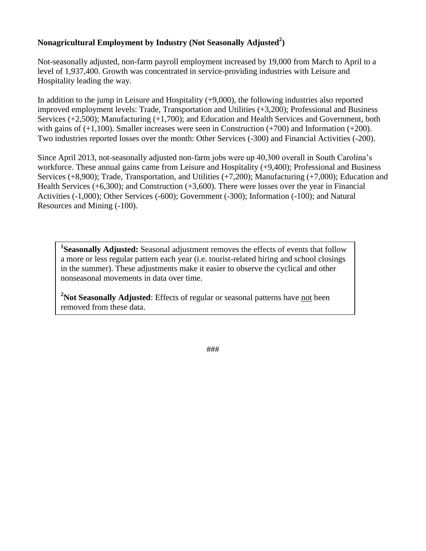### **Nonagricultural Employment by Industry (Not Seasonally Adjusted<sup>2</sup> )**

Not-seasonally adjusted, non-farm payroll employment increased by 19,000 from March to April to a level of 1,937,400. Growth was concentrated in service-providing industries with Leisure and Hospitality leading the way.

In addition to the jump in Leisure and Hospitality (+9,000), the following industries also reported improved employment levels: Trade, Transportation and Utilities (+3,200); Professional and Business Services (+2,500); Manufacturing (+1,700); and Education and Health Services and Government, both with gains of  $(+1,100)$ . Smaller increases were seen in Construction  $(+700)$  and Information  $(+200)$ . Two industries reported losses over the month: Other Services (-300) and Financial Activities (-200).

Since April 2013, not-seasonally adjusted non-farm jobs were up 40,300 overall in South Carolina's workforce. These annual gains came from Leisure and Hospitality (+9,400); Professional and Business Services (+8,900); Trade, Transportation, and Utilities (+7,200); Manufacturing (+7,000); Education and Health Services (+6,300); and Construction (+3,600). There were losses over the year in Financial Activities (-1,000); Other Services (-600); Government (-300); Information (-100); and Natural Resources and Mining (-100).

<sup>1</sup>Seasonally Adjusted: Seasonal adjustment removes the effects of events that follow a more or less regular pattern each year (i.e. tourist-related hiring and school closings in the summer). These adjustments make it easier to observe the cyclical and other nonseasonal movements in data over time.

**<sup>2</sup>Not Seasonally Adjusted**: Effects of regular or seasonal patterns have not been removed from these data.

###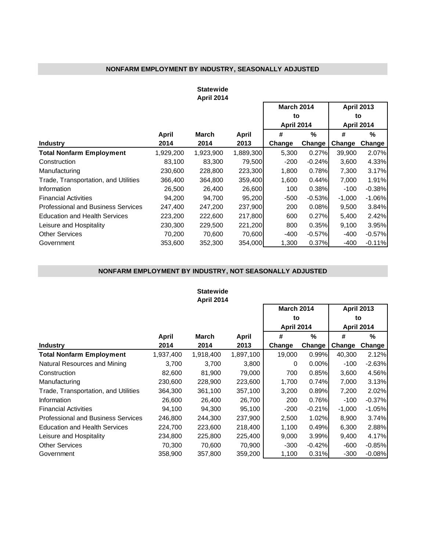### **NONFARM EMPLOYMENT BY INDUSTRY, SEASONALLY ADJUSTED**

#### **Statewide April 2014**

|                                      |           |           |           | <b>March 2014</b> |          | <b>April 2013</b>       |          |  |
|--------------------------------------|-----------|-----------|-----------|-------------------|----------|-------------------------|----------|--|
|                                      |           |           |           | to                |          | to<br><b>April 2014</b> |          |  |
|                                      |           |           |           | <b>April 2014</b> |          |                         |          |  |
|                                      | April     | March     | April     | #                 | %        | #                       | %        |  |
| <b>Industry</b>                      | 2014      | 2014      | 2013      | Change            | Change   | Change                  | Change   |  |
| <b>Total Nonfarm Employment</b>      | 1,929,200 | 1,923,900 | 1,889,300 | 5,300             | 0.27%    | 39,900                  | 2.07%    |  |
| Construction                         | 83,100    | 83,300    | 79,500    | $-200$            | $-0.24%$ | 3,600                   | 4.33%    |  |
| Manufacturing                        | 230.600   | 228,800   | 223,300   | 1,800             | 0.78%    | 7,300                   | 3.17%    |  |
| Trade, Transportation, and Utilities | 366,400   | 364,800   | 359,400   | 1,600             | 0.44%    | 7,000                   | 1.91%    |  |
| Information                          | 26,500    | 26,400    | 26,600    | 100               | 0.38%    | $-100$                  | $-0.38%$ |  |
| <b>Financial Activities</b>          | 94,200    | 94,700    | 95,200    | $-500$            | $-0.53%$ | $-1,000$                | $-1.06%$ |  |
| Professional and Business Services   | 247.400   | 247,200   | 237,900   | 200               | 0.08%    | 9,500                   | 3.84%    |  |
| <b>Education and Health Services</b> | 223,200   | 222,600   | 217,800   | 600               | 0.27%    | 5,400                   | 2.42%    |  |
| Leisure and Hospitality              | 230,300   | 229,500   | 221,200   | 800               | 0.35%    | 9,100                   | 3.95%    |  |
| <b>Other Services</b>                | 70,200    | 70,600    | 70,600    | $-400$            | $-0.57%$ | -400                    | $-0.57%$ |  |
| Government                           | 353,600   | 352,300   | 354.000   | 1,300             | 0.37%    | $-400$                  | $-0.11%$ |  |

#### **NONFARM EMPLOYMENT BY INDUSTRY, NOT SEASONALLY ADJUSTED**

#### **Statewide April 2014**

'n

|                                           |           |              |           | <b>March 2014</b> |          | <b>April 2013</b> |          |  |
|-------------------------------------------|-----------|--------------|-----------|-------------------|----------|-------------------|----------|--|
|                                           |           |              |           | to                |          | to                |          |  |
|                                           |           |              |           | <b>April 2014</b> |          | <b>April 2014</b> |          |  |
|                                           | April     | <b>March</b> | April     | #                 | %        | #                 | %        |  |
| <b>Industry</b>                           | 2014      | 2014         | 2013      | Change            | Change   | Change            | Change   |  |
| <b>Total Nonfarm Employment</b>           | 1,937,400 | 1,918,400    | 1,897,100 | 19,000            | 0.99%    | 40,300            | 2.12%    |  |
| Natural Resources and Mining              | 3,700     | 3,700        | 3,800     | $\Omega$          | $0.00\%$ | $-100$            | $-2.63%$ |  |
| Construction                              | 82,600    | 81,900       | 79,000    | 700               | 0.85%    | 3,600             | 4.56%    |  |
| Manufacturing                             | 230,600   | 228,900      | 223,600   | 1,700             | 0.74%    | 7,000             | 3.13%    |  |
| Trade, Transportation, and Utilities      | 364,300   | 361,100      | 357,100   | 3,200             | 0.89%    | 7,200             | 2.02%    |  |
| Information                               | 26,600    | 26,400       | 26,700    | 200               | 0.76%    | $-100$            | $-0.37%$ |  |
| <b>Financial Activities</b>               | 94,100    | 94,300       | 95,100    | $-200$            | $-0.21%$ | $-1,000$          | $-1.05%$ |  |
| <b>Professional and Business Services</b> | 246,800   | 244,300      | 237,900   | 2,500             | 1.02%    | 8,900             | 3.74%    |  |
| <b>Education and Health Services</b>      | 224,700   | 223,600      | 218,400   | 1,100             | 0.49%    | 6,300             | 2.88%    |  |
| Leisure and Hospitality                   | 234,800   | 225,800      | 225,400   | 9,000             | 3.99%    | 9,400             | 4.17%    |  |
| <b>Other Services</b>                     | 70,300    | 70.600       | 70,900    | $-300$            | $-0.42%$ | -600              | $-0.85%$ |  |
| Government                                | 358,900   | 357,800      | 359,200   | 1,100             | 0.31%    | $-300$            | $-0.08%$ |  |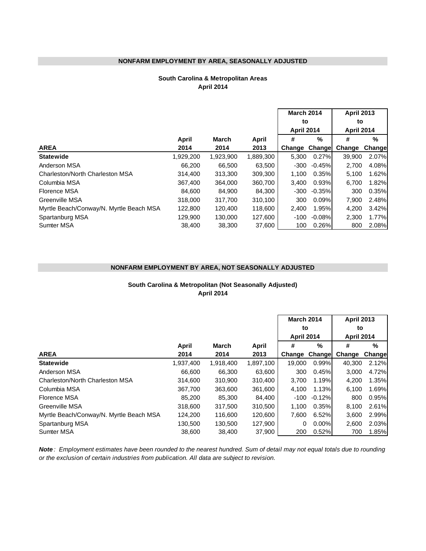#### **NONFARM EMPLOYMENT BY AREA, SEASONALLY ADJUSTED**

#### **April 2014 South Carolina & Metropolitan Areas**

|                                         |           |              |           | <b>March 2014</b> |          | <b>April 2013</b><br>to |         |  |
|-----------------------------------------|-----------|--------------|-----------|-------------------|----------|-------------------------|---------|--|
|                                         |           |              |           | to                |          |                         |         |  |
|                                         |           |              |           | <b>April 2014</b> |          | <b>April 2014</b>       |         |  |
|                                         | April     | <b>March</b> | April     | #                 | %        | #                       | %       |  |
| <b>AREA</b>                             | 2014      | 2014         | 2013      | Change            | Change   | Change                  | Changel |  |
| <b>Statewide</b>                        | 1,929,200 | 1,923,900    | 1,889,300 | 5,300             | 0.27%    | 39,900                  | 2.07%   |  |
| Anderson MSA                            | 66,200    | 66,500       | 63,500    | $-300$            | $-0.45%$ | 2,700                   | 4.08%   |  |
| Charleston/North Charleston MSA         | 314,400   | 313,300      | 309,300   | 1.100             | 0.35%    | 5,100                   | 1.62%   |  |
| Columbia MSA                            | 367,400   | 364,000      | 360,700   | 3,400             | 0.93%    | 6,700                   | 1.82%   |  |
| Florence MSA                            | 84.600    | 84.900       | 84,300    | $-300$            | $-0.35%$ | 300                     | 0.35%   |  |
| Greenville MSA                          | 318,000   | 317,700      | 310,100   | 300               | 0.09%    | 7.900                   | 2.48%   |  |
| Myrtle Beach/Conway/N. Myrtle Beach MSA | 122,800   | 120,400      | 118,600   | 2.400             | 1.95%l   | 4,200                   | 3.42%   |  |
| Spartanburg MSA                         | 129.900   | 130,000      | 127.600   | $-100$            | $-0.08%$ | 2,300                   | 1.77%   |  |
| <b>Sumter MSA</b>                       | 38,400    | 38,300       | 37,600    | 100               | 0.26%    | 800                     | 2.08%   |  |

#### **NONFARM EMPLOYMENT BY AREA, NOT SEASONALLY ADJUSTED**

#### **April 2014 South Carolina & Metropolitan (Not Seasonally Adjusted)**

|                                         |           |           |           | <b>March 2014</b> |          | <b>April 2013</b><br>to<br><b>April 2014</b> |         |  |
|-----------------------------------------|-----------|-----------|-----------|-------------------|----------|----------------------------------------------|---------|--|
|                                         |           |           |           | to                |          |                                              |         |  |
|                                         |           |           |           | <b>April 2014</b> |          |                                              |         |  |
|                                         | April     | March     | April     | #                 | %        | #                                            | %       |  |
| <b>AREA</b>                             | 2014      | 2014      | 2013      | Change            | Change   | Change                                       | Changel |  |
| <b>Statewide</b>                        | 1,937,400 | 1,918,400 | 1,897,100 | 19.000            | 0.99%    | 40,300                                       | 2.12%   |  |
| Anderson MSA                            | 66,600    | 66.300    | 63,600    | 300               | 0.45%    | 3,000                                        | 4.72%   |  |
| Charleston/North Charleston MSA         | 314,600   | 310,900   | 310,400   | 3,700             | 1.19%    | 4,200                                        | 1.35%   |  |
| Columbia MSA                            | 367,700   | 363,600   | 361,600   | 4,100             | 1.13%    | 6,100                                        | 1.69%   |  |
| Florence MSA                            | 85,200    | 85,300    | 84,400    | -100              | $-0.12%$ | 800                                          | 0.95%   |  |
| <b>Greenville MSA</b>                   | 318,600   | 317,500   | 310.500   | 1.100             | 0.35%    | 8.100                                        | 2.61%   |  |
| Myrtle Beach/Conway/N. Myrtle Beach MSA | 124,200   | 116,600   | 120,600   | 7,600             | 6.52%    | 3,600                                        | 2.99%   |  |
| Spartanburg MSA                         | 130,500   | 130,500   | 127,900   | 0                 | $0.00\%$ | 2,600                                        | 2.03%   |  |
| <b>Sumter MSA</b>                       | 38,600    | 38,400    | 37,900    | 200               | 0.52%    | 700                                          | 1.85%   |  |

*Note : Employment estimates have been rounded to the nearest hundred. Sum of detail may not equal totals due to rounding or the exclusion of certain industries from publication. All data are subject to revision.*